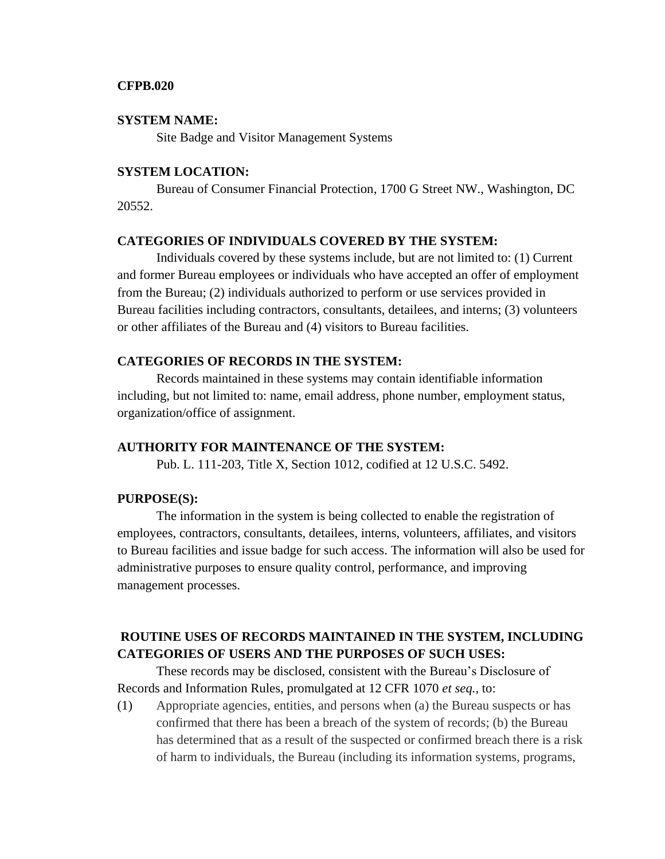#### **CFPB.020**

## **SYSTEM NAME:**

Site Badge and Visitor Management Systems

#### **SYSTEM LOCATION:**

Bureau of Consumer Financial Protection, 1700 G Street NW., Washington, DC 20552.

### **CATEGORIES OF INDIVIDUALS COVERED BY THE SYSTEM:**

Individuals covered by these systems include, but are not limited to: (1) Current and former Bureau employees or individuals who have accepted an offer of employment from the Bureau; (2) individuals authorized to perform or use services provided in Bureau facilities including contractors, consultants, detailees, and interns; (3) volunteers or other affiliates of the Bureau and (4) visitors to Bureau facilities.

#### **CATEGORIES OF RECORDS IN THE SYSTEM:**

Records maintained in these systems may contain identifiable information including, but not limited to: name, email address, phone number, employment status, organization/office of assignment.

# **AUTHORITY FOR MAINTENANCE OF THE SYSTEM:**

Pub. L. 111-203, Title X, Section 1012, codified at 12 U.S.C. 5492.

#### **PURPOSE(S):**

The information in the system is being collected to enable the registration of employees, contractors, consultants, detailees, interns, volunteers, affiliates, and visitors to Bureau facilities and issue badge for such access. The information will also be used for administrative purposes to ensure quality control, performance, and improving management processes.

# **ROUTINE USES OF RECORDS MAINTAINED IN THE SYSTEM, INCLUDING CATEGORIES OF USERS AND THE PURPOSES OF SUCH USES:**

These records may be disclosed, consistent with the Bureau's Disclosure of Records and Information Rules, promulgated at 12 CFR 1070 *et seq.,* to:

(1) Appropriate agencies, entities, and persons when (a) the Bureau suspects or has confirmed that there has been a breach of the system of records; (b) the Bureau has determined that as a result of the suspected or confirmed breach there is a risk of harm to individuals, the Bureau (including its information systems, programs,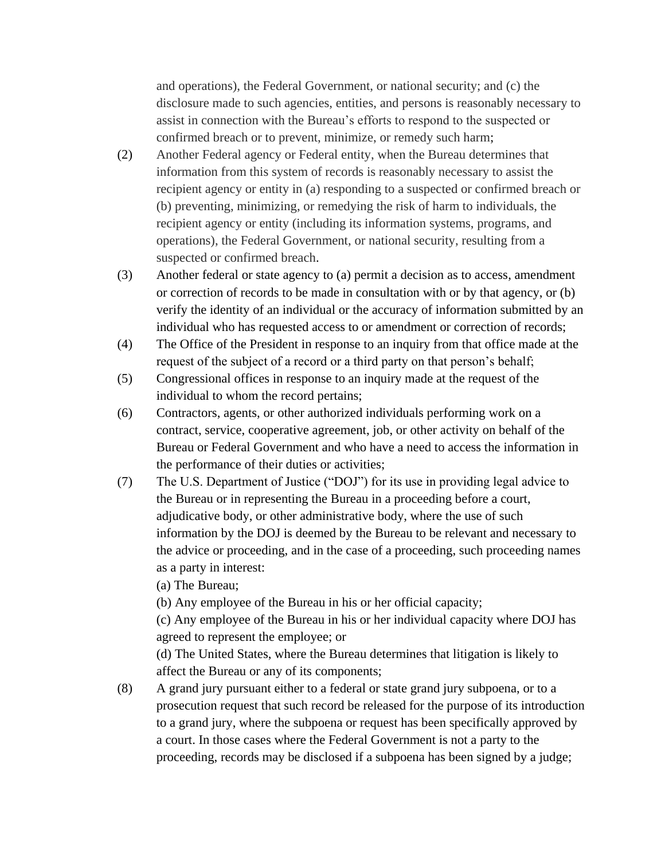and operations), the Federal Government, or national security; and (c) the disclosure made to such agencies, entities, and persons is reasonably necessary to assist in connection with the Bureau's efforts to respond to the suspected or confirmed breach or to prevent, minimize, or remedy such harm;

- (2) Another Federal agency or Federal entity, when the Bureau determines that information from this system of records is reasonably necessary to assist the recipient agency or entity in (a) responding to a suspected or confirmed breach or (b) preventing, minimizing, or remedying the risk of harm to individuals, the recipient agency or entity (including its information systems, programs, and operations), the Federal Government, or national security, resulting from a suspected or confirmed breach.
- (3) Another federal or state agency to (a) permit a decision as to access, amendment or correction of records to be made in consultation with or by that agency, or (b) verify the identity of an individual or the accuracy of information submitted by an individual who has requested access to or amendment or correction of records;
- (4) The Office of the President in response to an inquiry from that office made at the request of the subject of a record or a third party on that person's behalf;
- (5) Congressional offices in response to an inquiry made at the request of the individual to whom the record pertains;
- (6) Contractors, agents, or other authorized individuals performing work on a contract, service, cooperative agreement, job, or other activity on behalf of the Bureau or Federal Government and who have a need to access the information in the performance of their duties or activities;
- (7) The U.S. Department of Justice ("DOJ") for its use in providing legal advice to the Bureau or in representing the Bureau in a proceeding before a court, adjudicative body, or other administrative body, where the use of such information by the DOJ is deemed by the Bureau to be relevant and necessary to the advice or proceeding, and in the case of a proceeding, such proceeding names as a party in interest:

(a) The Bureau;

(b) Any employee of the Bureau in his or her official capacity;

(c) Any employee of the Bureau in his or her individual capacity where DOJ has agreed to represent the employee; or

(d) The United States, where the Bureau determines that litigation is likely to affect the Bureau or any of its components;

(8) A grand jury pursuant either to a federal or state grand jury subpoena, or to a prosecution request that such record be released for the purpose of its introduction to a grand jury, where the subpoena or request has been specifically approved by a court. In those cases where the Federal Government is not a party to the proceeding, records may be disclosed if a subpoena has been signed by a judge;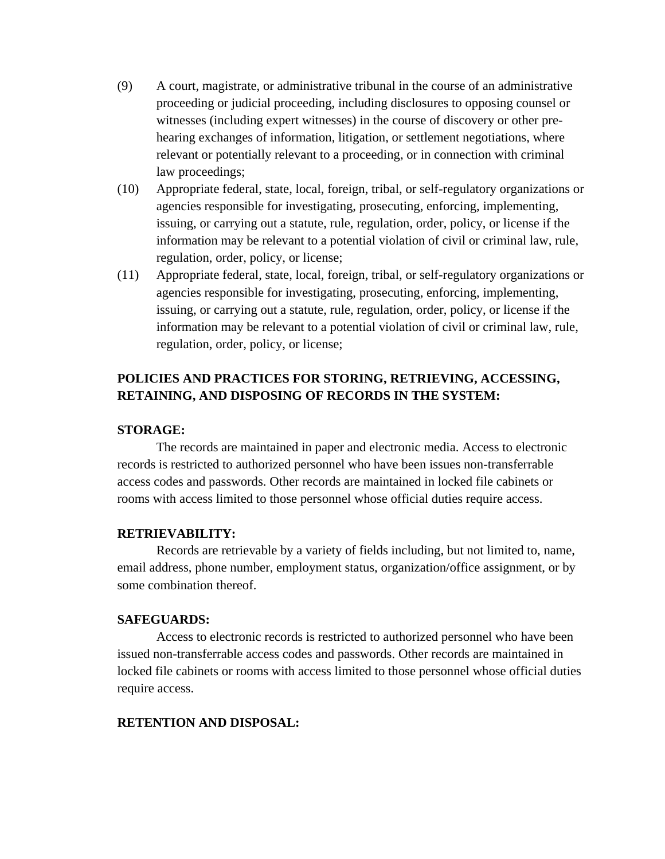- (9) A court, magistrate, or administrative tribunal in the course of an administrative proceeding or judicial proceeding, including disclosures to opposing counsel or witnesses (including expert witnesses) in the course of discovery or other prehearing exchanges of information, litigation, or settlement negotiations, where relevant or potentially relevant to a proceeding, or in connection with criminal law proceedings;
- (10) Appropriate federal, state, local, foreign, tribal, or self-regulatory organizations or agencies responsible for investigating, prosecuting, enforcing, implementing, issuing, or carrying out a statute, rule, regulation, order, policy, or license if the information may be relevant to a potential violation of civil or criminal law, rule, regulation, order, policy, or license;
- (11) Appropriate federal, state, local, foreign, tribal, or self-regulatory organizations or agencies responsible for investigating, prosecuting, enforcing, implementing, issuing, or carrying out a statute, rule, regulation, order, policy, or license if the information may be relevant to a potential violation of civil or criminal law, rule, regulation, order, policy, or license;

# **POLICIES AND PRACTICES FOR STORING, RETRIEVING, ACCESSING, RETAINING, AND DISPOSING OF RECORDS IN THE SYSTEM:**

#### **STORAGE:**

The records are maintained in paper and electronic media. Access to electronic records is restricted to authorized personnel who have been issues non-transferrable access codes and passwords. Other records are maintained in locked file cabinets or rooms with access limited to those personnel whose official duties require access.

#### **RETRIEVABILITY:**

Records are retrievable by a variety of fields including, but not limited to, name, email address, phone number, employment status, organization/office assignment, or by some combination thereof.

#### **SAFEGUARDS:**

Access to electronic records is restricted to authorized personnel who have been issued non-transferrable access codes and passwords. Other records are maintained in locked file cabinets or rooms with access limited to those personnel whose official duties require access.

### **RETENTION AND DISPOSAL:**